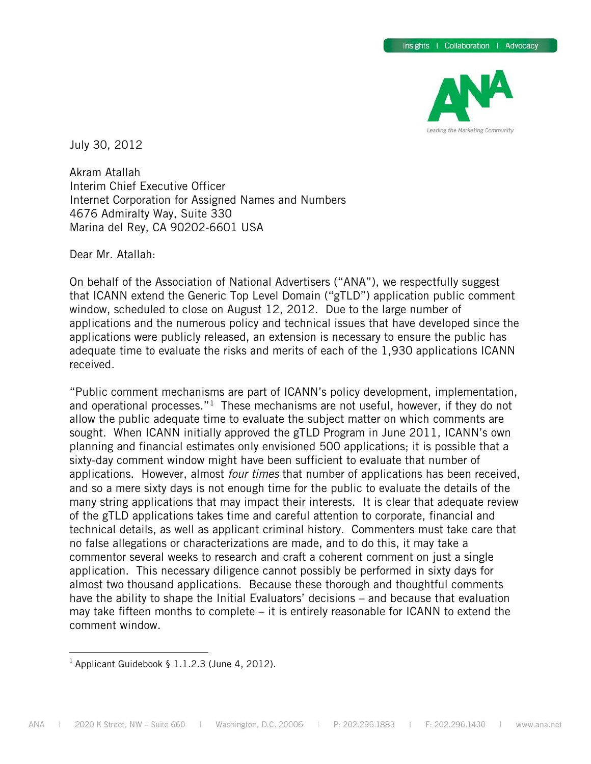

July 30, 2012

Akram Atallah Interim Chief Executive Officer Internet Corporation for Assigned Names and Numbers 4676 Admiralty Way, Suite 330 Marina del Rey, CA 90202-6601 USA

Dear Mr. Atallah:

On behalf of the Association of National Advertisers ("ANA"), we respectfully suggest that ICANN extend the Generic Top Level Domain ("gTLD") application public comment window, scheduled to close on August 12, 2012. Due to the large number of applications and the numerous policy and technical issues that have developed since the applications were publicly released, an extension is necessary to ensure the public has adequate time to evaluate the risks and merits of each of the 1,930 applications ICANN received.

"Public comment mechanisms are part of ICANN's policy development, implementation, and operational processes."<sup>1</sup> These mechanisms are not useful, however, if they do not allow the public adequate time to evaluate the subject matter on which comments are sought. When ICANN initially approved the gTLD Program in June 2011, ICANN's own planning and financial estimates only envisioned 500 applications; it is possible that a sixty-day comment window might have been sufficient to evaluate that number of applications. However, almost *four times* that number of applications has been received, and so a mere sixty days is not enough time for the public to evaluate the details of the many string applications that may impact their interests. It is clear that adequate review of the gTLD applications takes time and careful attention to corporate, financial and technical details, as well as applicant criminal history. Commenters must take care that no false allegations or characterizations are made, and to do this, it may take a commentor several weeks to research and craft a coherent comment on just a single application. This necessary diligence cannot possibly be performed in sixty days for almost two thousand applications. Because these thorough and thoughtful comments have the ability to shape the Initial Evaluators' decisions – and because that evaluation may take fifteen months to complete – it is entirely reasonable for ICANN to extend the comment window.

<span id="page-0-0"></span><sup>&</sup>lt;sup>1</sup> Applicant Guidebook § 1.1.2.3 (June 4, 2012).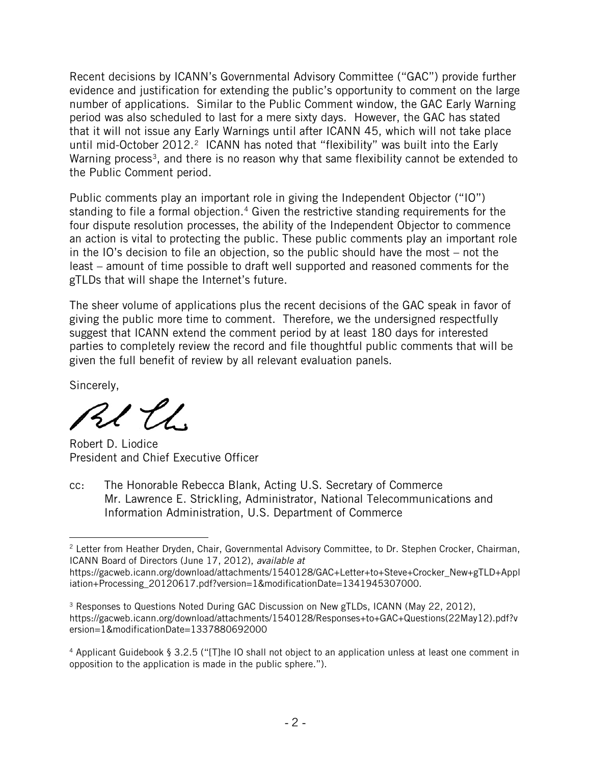Recent decisions by ICANN's Governmental Advisory Committee ("GAC") provide further evidence and justification for extending the public's opportunity to comment on the large number of applications. Similar to the Public Comment window, the GAC Early Warning period was also scheduled to last for a mere sixty days. However, the GAC has stated that it will not issue any Early Warnings until after ICANN 45, which will not take place until mid-October 2012.<sup>2</sup> ICANN has noted that "flexibility" was built into the Early Warning process<sup>[3](#page-1-1)</sup>, and there is no reason why that same flexibility cannot be extended to the Public Comment period.

Public comments play an important role in giving the Independent Objector ("IO") standing to file a formal objection.<sup>[4](#page-1-2)</sup> Given the restrictive standing requirements for the four dispute resolution processes, the ability of the Independent Objector to commence an action is vital to protecting the public. These public comments play an important role in the IO's decision to file an objection, so the public should have the most – not the least – amount of time possible to draft well supported and reasoned comments for the gTLDs that will shape the Internet's future.

The sheer volume of applications plus the recent decisions of the GAC speak in favor of giving the public more time to comment. Therefore, we the undersigned respectfully suggest that ICANN extend the comment period by at least 180 days for interested parties to completely review the record and file thoughtful public comments that will be given the full benefit of review by all relevant evaluation panels.

Sincerely,

RI EL

Robert D. Liodice President and Chief Executive Officer

cc: The Honorable Rebecca Blank, Acting U.S. Secretary of Commerce Mr. Lawrence E. Strickling, Administrator, National Telecommunications and Information Administration, U.S. Department of Commerce

<span id="page-1-0"></span> $\overline{a}$ <sup>2</sup> Letter from Heather Dryden, Chair, Governmental Advisory Committee, to Dr. Stephen Crocker, Chairman, ICANN Board of Directors (June 17, 2012), *available at*

https://gacweb.icann.org/download/attachments/1540128/GAC+Letter+to+Steve+Crocker\_New+gTLD+Appl iation+Processing\_20120617.pdf?version=1&modificationDate=1341945307000.

<span id="page-1-1"></span><sup>&</sup>lt;sup>3</sup> Responses to Questions Noted During GAC Discussion on New gTLDs, ICANN (May 22, 2012), https://gacweb.icann.org/download/attachments/1540128/Responses+to+GAC+Questions(22May12).pdf?v ersion=1&modificationDate=1337880692000

<span id="page-1-2"></span><sup>4</sup> Applicant Guidebook § 3.2.5 ("[T]he IO shall not object to an application unless at least one comment in opposition to the application is made in the public sphere.").